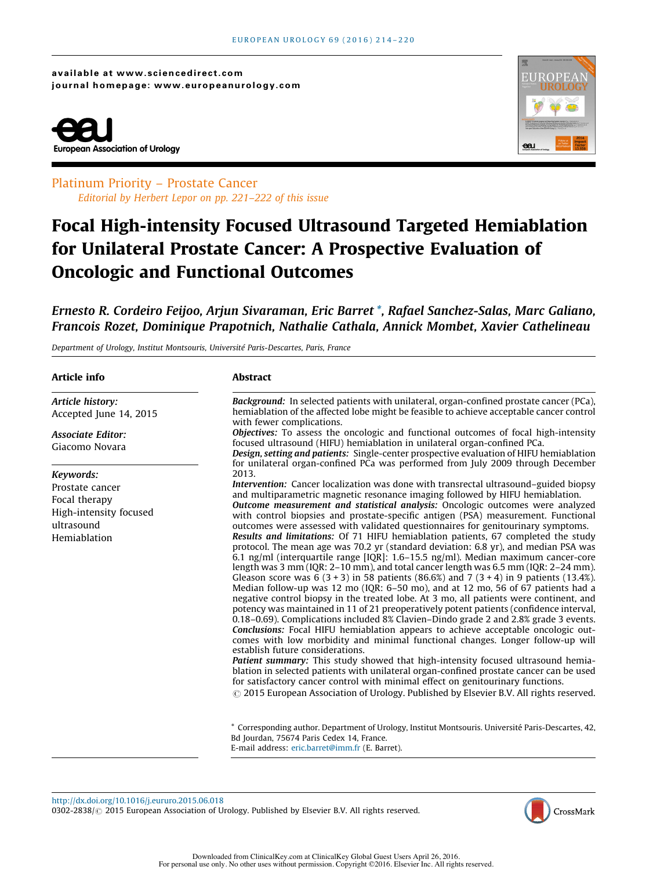available at www.sciencedirect.com journal homepage: www.europeanurology.com





Platinum Priority – Prostate Cancer Editorial by Herbert Lepor on pp. 221–222 of this issue

# Focal High-intensity Focused Ultrasound Targeted Hemiablation for Unilateral Prostate Cancer: A Prospective Evaluation of Oncologic and Functional Outcomes

# Ernesto R. Cordeiro Feijoo, Arjun Sivaraman, Eric Barret \*, Rafael Sanchez-Salas, Marc Galiano, Francois Rozet, Dominique Prapotnich, Nathalie Cathala, Annick Mombet, Xavier Cathelineau

Department of Urology, Institut Montsouris, Université Paris-Descartes, Paris, France

| Article info             | <b>Abstract</b>                                                                                                                                                                                                                                                                                                                                                                                                                                                                                                                                                                                                                                                                                                                                                                                                                                                                                                                                                                                                                                                                                                                                                                                                                                                                                             |  |  |  |  |
|--------------------------|-------------------------------------------------------------------------------------------------------------------------------------------------------------------------------------------------------------------------------------------------------------------------------------------------------------------------------------------------------------------------------------------------------------------------------------------------------------------------------------------------------------------------------------------------------------------------------------------------------------------------------------------------------------------------------------------------------------------------------------------------------------------------------------------------------------------------------------------------------------------------------------------------------------------------------------------------------------------------------------------------------------------------------------------------------------------------------------------------------------------------------------------------------------------------------------------------------------------------------------------------------------------------------------------------------------|--|--|--|--|
| Article history:         | Background: In selected patients with unilateral, organ-confined prostate cancer (PCa),                                                                                                                                                                                                                                                                                                                                                                                                                                                                                                                                                                                                                                                                                                                                                                                                                                                                                                                                                                                                                                                                                                                                                                                                                     |  |  |  |  |
| Accepted June 14, 2015   | hemiablation of the affected lobe might be feasible to achieve acceptable cancer control<br>with fewer complications.                                                                                                                                                                                                                                                                                                                                                                                                                                                                                                                                                                                                                                                                                                                                                                                                                                                                                                                                                                                                                                                                                                                                                                                       |  |  |  |  |
| <b>Associate Editor:</b> | Objectives: To assess the oncologic and functional outcomes of focal high-intensity                                                                                                                                                                                                                                                                                                                                                                                                                                                                                                                                                                                                                                                                                                                                                                                                                                                                                                                                                                                                                                                                                                                                                                                                                         |  |  |  |  |
| Giacomo Novara           | focused ultrasound (HIFU) hemiablation in unilateral organ-confined PCa.<br>Design, setting and patients: Single-center prospective evaluation of HIFU hemiablation<br>for unilateral organ-confined PCa was performed from July 2009 through December                                                                                                                                                                                                                                                                                                                                                                                                                                                                                                                                                                                                                                                                                                                                                                                                                                                                                                                                                                                                                                                      |  |  |  |  |
| Keywords:                | 2013.                                                                                                                                                                                                                                                                                                                                                                                                                                                                                                                                                                                                                                                                                                                                                                                                                                                                                                                                                                                                                                                                                                                                                                                                                                                                                                       |  |  |  |  |
| Prostate cancer          | <b>Intervention:</b> Cancer localization was done with transrectal ultrasound–guided biopsy                                                                                                                                                                                                                                                                                                                                                                                                                                                                                                                                                                                                                                                                                                                                                                                                                                                                                                                                                                                                                                                                                                                                                                                                                 |  |  |  |  |
| Focal therapy            | and multiparametric magnetic resonance imaging followed by HIFU hemiablation.<br>Outcome measurement and statistical analysis: Oncologic outcomes were analyzed                                                                                                                                                                                                                                                                                                                                                                                                                                                                                                                                                                                                                                                                                                                                                                                                                                                                                                                                                                                                                                                                                                                                             |  |  |  |  |
| High-intensity focused   | with control biopsies and prostate-specific antigen (PSA) measurement. Functional                                                                                                                                                                                                                                                                                                                                                                                                                                                                                                                                                                                                                                                                                                                                                                                                                                                                                                                                                                                                                                                                                                                                                                                                                           |  |  |  |  |
| ultrasound               | outcomes were assessed with validated questionnaires for genitourinary symptoms.                                                                                                                                                                                                                                                                                                                                                                                                                                                                                                                                                                                                                                                                                                                                                                                                                                                                                                                                                                                                                                                                                                                                                                                                                            |  |  |  |  |
| Hemiablation             | Results and limitations: Of 71 HIFU hemiablation patients, 67 completed the study<br>protocol. The mean age was 70.2 yr (standard deviation: 6.8 yr), and median PSA was<br>6.1 ng/ml (interquartile range [IQR]: $1.6-15.5$ ng/ml). Median maximum cancer-core<br>length was 3 mm (IQR: $2-10$ mm), and total cancer length was 6.5 mm (IQR: $2-24$ mm).<br>Gleason score was 6 (3 + 3) in 58 patients (86.6%) and 7 (3 + 4) in 9 patients (13.4%).<br>Median follow-up was 12 mo (IQR: $6-50$ mo), and at 12 mo, 56 of 67 patients had a<br>negative control biopsy in the treated lobe. At 3 mo, all patients were continent, and<br>potency was maintained in 11 of 21 preoperatively potent patients (confidence interval,<br>0.18–0.69). Complications included 8% Clavien–Dindo grade 2 and 2.8% grade 3 events.<br><b>Conclusions:</b> Focal HIFU hemiablation appears to achieve acceptable oncologic out-<br>comes with low morbidity and minimal functional changes. Longer follow-up will<br>establish future considerations.<br>Patient summary: This study showed that high-intensity focused ultrasound hemia-<br>blation in selected patients with unilateral organ-confined prostate cancer can be used<br>for satisfactory cancer control with minimal effect on genitourinary functions. |  |  |  |  |
|                          | © 2015 European Association of Urology. Published by Elsevier B.V. All rights reserved.<br>* Corresponding author. Department of Urology, Institut Montsouris. Université Paris-Descartes, 42,<br>Bd Jourdan, 75674 Paris Cedex 14, France.                                                                                                                                                                                                                                                                                                                                                                                                                                                                                                                                                                                                                                                                                                                                                                                                                                                                                                                                                                                                                                                                 |  |  |  |  |

E-mail address: [eric.barret@imm.fr](mailto:eric.barret@imm.fr) (E. Barret).

<http://dx.doi.org/10.1016/j.eururo.2015.06.018> 0302-2838/ 2015 European Association of Urology. Published by Elsevier B.V. All rights reserved.

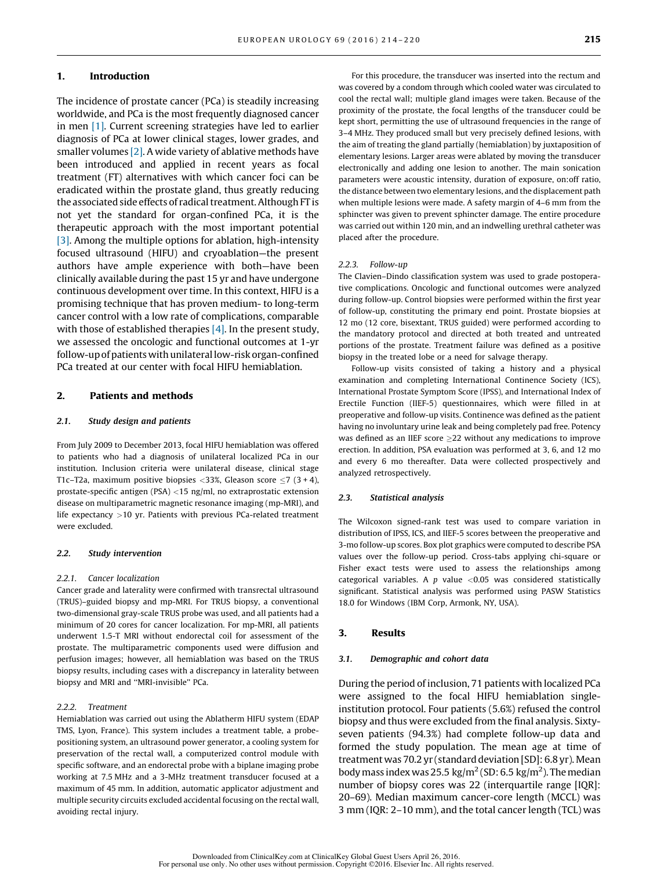# 1. Introduction

The incidence of prostate cancer (PCa) is steadily increasing worldwide, and PCa is the most frequently diagnosed cancer in men [\[1\].](#page-5-0) Current screening strategies have led to earlier diagnosis of PCa at lower clinical stages, lower grades, and smaller volumes [\[2\]](#page-5-0). A wide variety of ablative methods have been introduced and applied in recent years as focal treatment (FT) alternatives with which cancer foci can be eradicated within the prostate gland, thus greatly reducing the associated side effects of radical treatment. Although FT is not yet the standard for organ-confined PCa, it is the therapeutic approach with the most important potential [\[3\]](#page-5-0). Among the multiple options for ablation, high-intensity focused ultrasound (HIFU) and cryoablation—the present authors have ample experience with both—have been clinically available during the past 15 yr and have undergone continuous development over time. In this context, HIFU is a promising technique that has proven medium- to long-term cancer control with a low rate of complications, comparable with those of established therapies  $[4]$ . In the present study, we assessed the oncologic and functional outcomes at 1-yr follow-up of patients with unilateral low-risk organ-confined PCa treated at our center with focal HIFU hemiablation.

# 2. Patients and methods

# 2.1. Study design and patients

From July 2009 to December 2013, focal HIFU hemiablation was offered to patients who had a diagnosis of unilateral localized PCa in our institution. Inclusion criteria were unilateral disease, clinical stage T1c–T2a, maximum positive biopsies <33%, Gleason score  $\leq$ 7 (3 + 4), prostate-specific antigen (PSA) <15 ng/ml, no extraprostatic extension disease on multiparametric magnetic resonance imaging (mp-MRI), and life expectancy >10 yr. Patients with previous PCa-related treatment were excluded.

#### 2.2. Study intervention

#### 2.2.1. Cancer localization

Cancer grade and laterality were confirmed with transrectal ultrasound (TRUS)–guided biopsy and mp-MRI. For TRUS biopsy, a conventional two-dimensional gray-scale TRUS probe was used, and all patients had a minimum of 20 cores for cancer localization. For mp-MRI, all patients underwent 1.5-T MRI without endorectal coil for assessment of the prostate. The multiparametric components used were diffusion and perfusion images; however, all hemiablation was based on the TRUS biopsy results, including cases with a discrepancy in laterality between biopsy and MRI and ''MRI-invisible'' PCa.

# 2.2.2. Treatment

Hemiablation was carried out using the Ablatherm HIFU system (EDAP TMS, Lyon, France). This system includes a treatment table, a probepositioning system, an ultrasound power generator, a cooling system for preservation of the rectal wall, a computerized control module with specific software, and an endorectal probe with a biplane imaging probe working at 7.5 MHz and a 3-MHz treatment transducer focused at a maximum of 45 mm. In addition, automatic applicator adjustment and multiple security circuits excluded accidental focusing on the rectal wall, avoiding rectal injury.

For this procedure, the transducer was inserted into the rectum and was covered by a condom through which cooled water was circulated to cool the rectal wall; multiple gland images were taken. Because of the proximity of the prostate, the focal lengths of the transducer could be kept short, permitting the use of ultrasound frequencies in the range of 3–4 MHz. They produced small but very precisely defined lesions, with the aim of treating the gland partially (hemiablation) by juxtaposition of elementary lesions. Larger areas were ablated by moving the transducer electronically and adding one lesion to another. The main sonication parameters were acoustic intensity, duration of exposure, on:off ratio, the distance between two elementary lesions, and the displacement path when multiple lesions were made. A safety margin of 4–6 mm from the sphincter was given to prevent sphincter damage. The entire procedure was carried out within 120 min, and an indwelling urethral catheter was placed after the procedure.

## 2.2.3. Follow-up

The Clavien–Dindo classification system was used to grade postoperative complications. Oncologic and functional outcomes were analyzed during follow-up. Control biopsies were performed within the first year of follow-up, constituting the primary end point. Prostate biopsies at 12 mo (12 core, bisextant, TRUS guided) were performed according to the mandatory protocol and directed at both treated and untreated portions of the prostate. Treatment failure was defined as a positive biopsy in the treated lobe or a need for salvage therapy.

Follow-up visits consisted of taking a history and a physical examination and completing International Continence Society (ICS), International Prostate Symptom Score (IPSS), and International Index of Erectile Function (IIEF-5) questionnaires, which were filled in at preoperative and follow-up visits. Continence was defined as the patient having no involuntary urine leak and being completely pad free. Potency was defined as an IIEF score  $\geq$ 22 without any medications to improve erection. In addition, PSA evaluation was performed at 3, 6, and 12 mo and every 6 mo thereafter. Data were collected prospectively and analyzed retrospectively.

# 2.3. Statistical analysis

The Wilcoxon signed-rank test was used to compare variation in distribution of IPSS, ICS, and IIEF-5 scores between the preoperative and 3-mo follow-up scores. Box plot graphics were computed to describe PSA values over the follow-up period. Cross-tabs applying chi-square or Fisher exact tests were used to assess the relationships among categorical variables. A  $p$  value <0.05 was considered statistically significant. Statistical analysis was performed using PASW Statistics 18.0 for Windows (IBM Corp, Armonk, NY, USA).

# 3. Results

# 3.1. Demographic and cohort data

During the period of inclusion, 71 patients with localized PCa were assigned to the focal HIFU hemiablation singleinstitution protocol. Four patients (5.6%) refused the control biopsy and thus were excluded from the final analysis. Sixtyseven patients (94.3%) had complete follow-up data and formed the study population. The mean age at time of treatment was 70.2 yr (standard deviation [SD]: 6.8 yr). Mean body mass index was 25.5 kg/m<sup>2</sup> (SD: 6.5 kg/m<sup>2</sup>). The median number of biopsy cores was 22 (interquartile range [IQR]: 20–69). Median maximum cancer-core length (MCCL) was 3 mm (IQR: 2–10 mm), and the total cancer length (TCL) was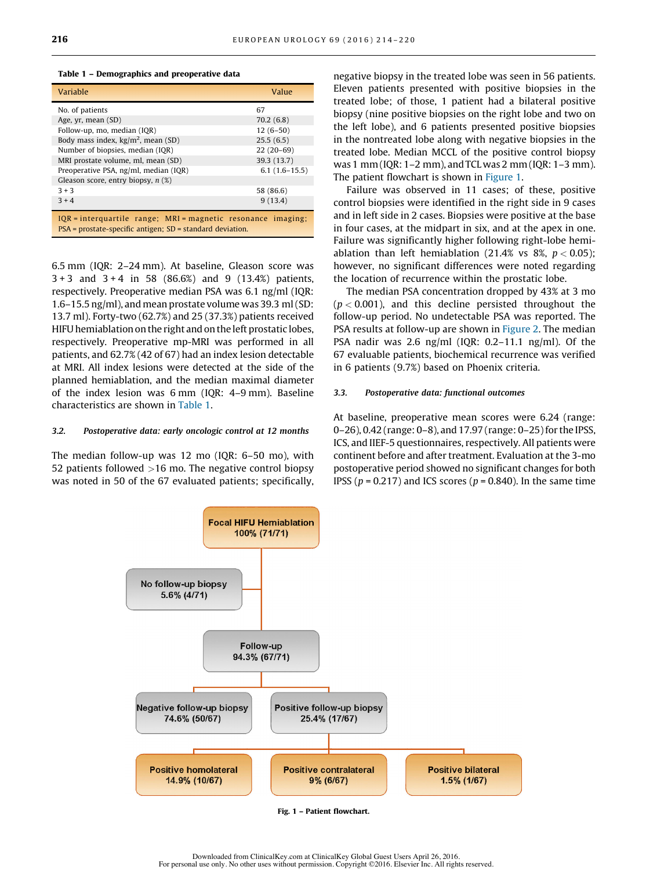#### Table 1 – Demographics and preoperative data

| Variable                                                                                                                              | Value           |  |  |  |  |  |  |
|---------------------------------------------------------------------------------------------------------------------------------------|-----------------|--|--|--|--|--|--|
| No. of patients                                                                                                                       | 67              |  |  |  |  |  |  |
| Age, yr, mean (SD)                                                                                                                    | 70.2(6.8)       |  |  |  |  |  |  |
| Follow-up, mo, median (IQR)                                                                                                           | $12(6-50)$      |  |  |  |  |  |  |
| Body mass index, $\text{kg/m}^2$ , mean (SD)                                                                                          | 25.5(6.5)       |  |  |  |  |  |  |
| Number of biopsies, median (IQR)                                                                                                      | $22(20-69)$     |  |  |  |  |  |  |
| MRI prostate volume, ml, mean (SD)                                                                                                    | 39.3 (13.7)     |  |  |  |  |  |  |
| Preoperative PSA, ng/ml, median (IQR)                                                                                                 | $6.1(1.6-15.5)$ |  |  |  |  |  |  |
| Gleason score, entry biopsy, $n$ (%)                                                                                                  |                 |  |  |  |  |  |  |
| $3 + 3$                                                                                                                               | 58 (86.6)       |  |  |  |  |  |  |
| $3 + 4$                                                                                                                               | 9(13.4)         |  |  |  |  |  |  |
| $IOR = interquartile range$ ; $MRI = magnetic resonance image$ ; $j = 1$<br>PSA = prostate-specific antigen; SD = standard deviation. |                 |  |  |  |  |  |  |

6.5 mm (IQR: 2–24 mm). At baseline, Gleason score was  $3 + 3$  and  $3 + 4$  in 58 (86.6%) and 9 (13.4%) patients, respectively. Preoperative median PSA was 6.1 ng/ml (IQR: 1.6–15.5 ng/ml), and mean prostate volume was 39.3 ml (SD: 13.7 ml). Forty-two (62.7%) and 25 (37.3%) patients received HIFU hemiablation on the right and on the left prostatic lobes, respectively. Preoperative mp-MRI was performed in all patients, and 62.7% (42 of 67) had an index lesion detectable at MRI. All index lesions were detected at the side of the planned hemiablation, and the median maximal diameter of the index lesion was 6 mm (IQR: 4–9 mm). Baseline characteristics are shown in Table 1.

# 3.2. Postoperative data: early oncologic control at 12 months

The median follow-up was 12 mo (IQR: 6–50 mo), with 52 patients followed  $>16$  mo. The negative control biopsy was noted in 50 of the 67 evaluated patients; specifically, negative biopsy in the treated lobe was seen in 56 patients. Eleven patients presented with positive biopsies in the treated lobe; of those, 1 patient had a bilateral positive biopsy (nine positive biopsies on the right lobe and two on the left lobe), and 6 patients presented positive biopsies in the nontreated lobe along with negative biopsies in the treated lobe. Median MCCL of the positive control biopsy was 1 mm (IQR: 1–2 mm), and TCL was 2 mm (IQR: 1–3 mm). The patient flowchart is shown in Figure 1.

Failure was observed in 11 cases; of these, positive control biopsies were identified in the right side in 9 cases and in left side in 2 cases. Biopsies were positive at the base in four cases, at the midpart in six, and at the apex in one. Failure was significantly higher following right-lobe hemiablation than left hemiablation (21.4% vs 8%,  $p < 0.05$ ); however, no significant differences were noted regarding the location of recurrence within the prostatic lobe.

The median PSA concentration dropped by 43% at 3 mo  $(p < 0.001)$ , and this decline persisted throughout the follow-up period. No undetectable PSA was reported. The PSA results at follow-up are shown in [Figure 2](#page-3-0). The median PSA nadir was 2.6 ng/ml (IQR: 0.2–11.1 ng/ml). Of the 67 evaluable patients, biochemical recurrence was verified in 6 patients (9.7%) based on Phoenix criteria.

# 3.3. Postoperative data: functional outcomes

At baseline, preoperative mean scores were 6.24 (range: 0–26), 0.42 (range: 0–8), and 17.97 (range: 0–25) for the IPSS, ICS, and IIEF-5 questionnaires, respectively. All patients were continent before and after treatment. Evaluation at the 3-mo postoperative period showed no significant changes for both IPSS ( $p = 0.217$ ) and ICS scores ( $p = 0.840$ ). In the same time



Fig. 1 – Patient flowchart.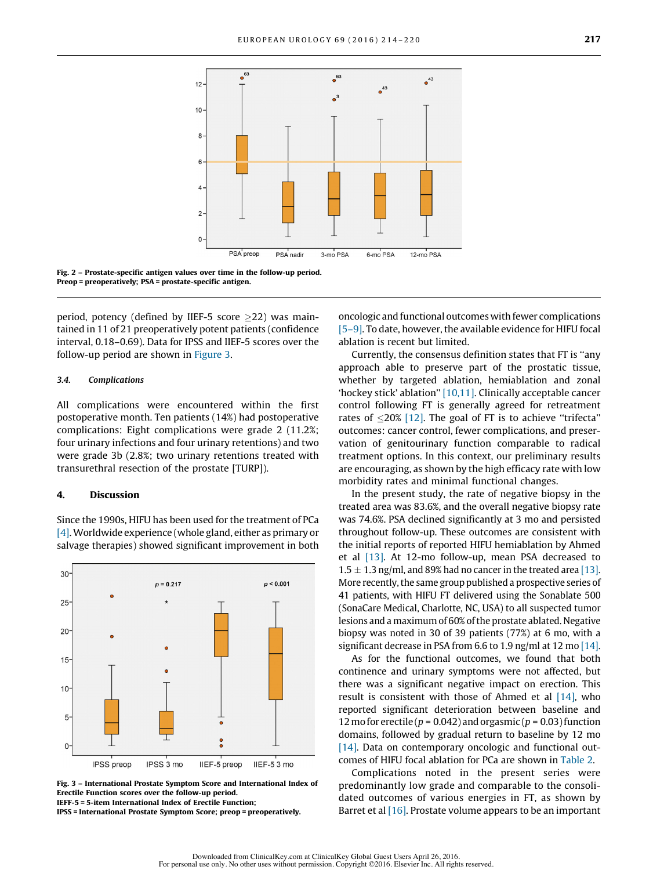<span id="page-3-0"></span>

Fig. 2 – Prostate-specific antigen values over time in the follow-up period. Preop = preoperatively; PSA = prostate-specific antigen.

period, potency (defined by IIEF-5 score  $\geq$ 22) was maintained in 11 of 21 preoperatively potent patients (confidence interval, 0.18–0.69). Data for IPSS and IIEF-5 scores over the follow-up period are shown in Figure 3.

#### 3.4. Complications

All complications were encountered within the first postoperative month. Ten patients (14%) had postoperative complications: Eight complications were grade 2 (11.2%; four urinary infections and four urinary retentions) and two were grade 3b (2.8%; two urinary retentions treated with transurethral resection of the prostate [TURP]).

# 4. Discussion

Since the 1990s, HIFU has been used for the treatment of PCa [\[4\]](#page-5-0).Worldwide experience (whole gland, either as primary or salvage therapies) showed significant improvement in both



Fig. 3 – International Prostate Symptom Score and International Index of Erectile Function scores over the follow-up period. IEFF-5 = 5-item International Index of Erectile Function;

IPSS = International Prostate Symptom Score; preop = preoperatively.

oncologic and functional outcomes with fewer complications [\[5–9\]](#page-6-0). To date, however, the available evidence for HIFU focal ablation is recent but limited.

Currently, the consensus definition states that FT is ''any approach able to preserve part of the prostatic tissue, whether by targeted ablation, hemiablation and zonal 'hockey stick' ablation'' [\[10,11\].](#page-6-0) Clinically acceptable cancer control following FT is generally agreed for retreatment rates of  $\leq$ 20% [\[12\]](#page-6-0). The goal of FT is to achieve "trifecta" outcomes: cancer control, fewer complications, and preservation of genitourinary function comparable to radical treatment options. In this context, our preliminary results are encouraging, as shown by the high efficacy rate with low morbidity rates and minimal functional changes.

In the present study, the rate of negative biopsy in the treated area was 83.6%, and the overall negative biopsy rate was 74.6%. PSA declined significantly at 3 mo and persisted throughout follow-up. These outcomes are consistent with the initial reports of reported HIFU hemiablation by Ahmed et al [\[13\].](#page-6-0) At 12-mo follow-up, mean PSA decreased to  $1.5 \pm 1.3$  ng/ml, and 89% had no cancer in the treated area [\[13\]](#page-6-0). More recently, the same group published a prospective series of 41 patients, with HIFU FT delivered using the Sonablate 500 (SonaCare Medical, Charlotte, NC, USA) to all suspected tumor lesions and a maximum of 60% of the prostate ablated. Negative biopsy was noted in 30 of 39 patients (77%) at 6 mo, with a significant decrease in PSA from 6.6 to 1.9 ng/ml at 12 mo [\[14\]](#page-6-0).

As for the functional outcomes, we found that both continence and urinary symptoms were not affected, but there was a significant negative impact on erection. This result is consistent with those of Ahmed et al [\[14\]](#page-6-0), who reported significant deterioration between baseline and 12 mo for erectile ( $p = 0.042$ ) and orgasmic ( $p = 0.03$ ) function domains, followed by gradual return to baseline by 12 mo [\[14\]](#page-6-0). Data on contemporary oncologic and functional outcomes of HIFU focal ablation for PCa are shown in [Table 2.](#page-4-0)

Complications noted in the present series were predominantly low grade and comparable to the consolidated outcomes of various energies in FT, as shown by Barret et al [\[16\]](#page-6-0). Prostate volume appears to be an important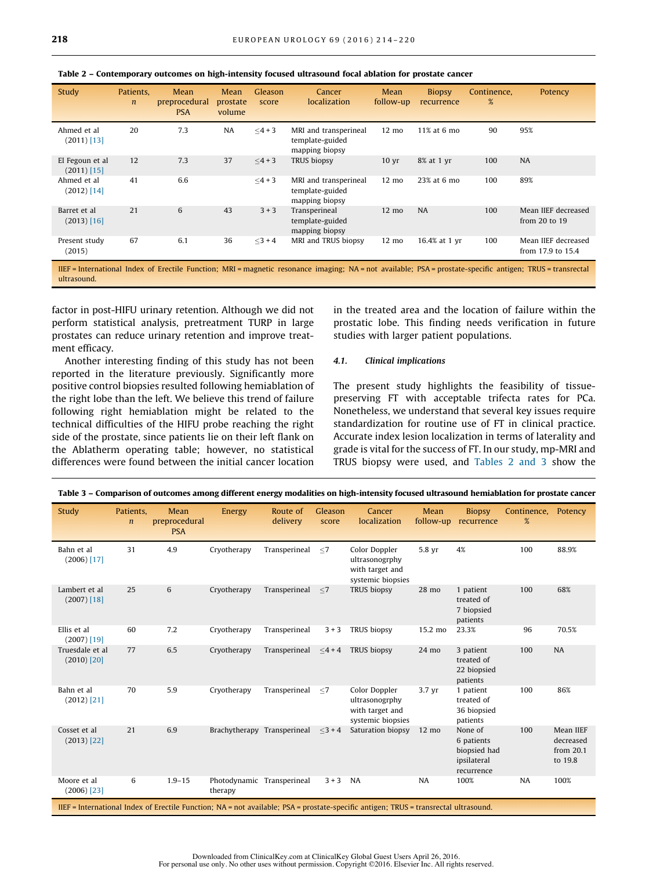| Study                            | Patients,<br>$\boldsymbol{n}$ | Mean<br>preprocedural<br><b>PSA</b> | Mean<br>prostate<br>volume | Gleason<br>score | Cancer<br>localization                                                                                                                                     | Mean<br>follow-up | <b>Biopsy</b><br>recurrence | Continence,<br>% | Potency                                  |
|----------------------------------|-------------------------------|-------------------------------------|----------------------------|------------------|------------------------------------------------------------------------------------------------------------------------------------------------------------|-------------------|-----------------------------|------------------|------------------------------------------|
| Ahmed et al<br>$(2011)$ [13]     | 20                            | 7.3                                 | <b>NA</b>                  | $<$ 4 + 3        | MRI and transperineal<br>template-guided<br>mapping biopsy                                                                                                 | $12 \text{ mo}$   | 11% at 6 mo                 | 90               | 95%                                      |
| El Fegoun et al<br>$(2011)$ [15] | 12                            | 7.3                                 | 37                         | $<4+3$           | <b>TRUS biopsy</b>                                                                                                                                         | 10 <sub>vr</sub>  | 8% at 1 yr                  | 100              | <b>NA</b>                                |
| Ahmed et al<br>$(2012)$ [14]     | 41                            | 6.6                                 |                            | $<$ 4 + 3        | MRI and transperineal<br>template-guided<br>mapping biopsy                                                                                                 | 12 mo             | 23% at 6 mo                 | 100              | 89%                                      |
| Barret et al<br>$(2013)$ [16]    | 21                            | 6                                   | 43                         | $3 + 3$          | Transperineal<br>template-guided<br>mapping biopsy                                                                                                         | $12 \text{ mo}$   | <b>NA</b>                   | 100              | Mean IIEF decreased<br>from 20 to 19     |
| Present study<br>(2015)          | 67                            | 6.1                                 | 36                         | $<$ 3 + 4        | MRI and TRUS biopsy                                                                                                                                        | 12 mo             | 16.4% at 1 yr               | 100              | Mean IIEF decreased<br>from 17.9 to 15.4 |
|                                  |                               |                                     |                            |                  | IIEF = International Index of Erectile Function; MRI = magnetic resonance imaging; NA = not available; PSA = prostate-specific antigen; TRUS = transrectal |                   |                             |                  |                                          |

Table 2 – Contemporary outcomes on high-intensity focused ultrasound focal ablation for prostate cancer

IIEF = International Index of Erectile Function; MRI = magnetic resonance imaging; NA = not available; PSA = prostate-specific antigen; TRUS = transrectal ultrasound.

factor in post-HIFU urinary retention. Although we did not perform statistical analysis, pretreatment TURP in large prostates can reduce urinary retention and improve treatment efficacy.

Another interesting finding of this study has not been reported in the literature previously. Significantly more positive control biopsies resulted following hemiablation of the right lobe than the left. We believe this trend of failure following right hemiablation might be related to the technical difficulties of the HIFU probe reaching the right side of the prostate, since patients lie on their left flank on the Ablatherm operating table; however, no statistical differences were found between the initial cancer location

in the treated area and the location of failure within the prostatic lobe. This finding needs verification in future studies with larger patient populations.

#### 4.1. Clinical implications

The present study highlights the feasibility of tissuepreserving FT with acceptable trifecta rates for PCa. Nonetheless, we understand that several key issues require standardization for routine use of FT in clinical practice. Accurate index lesion localization in terms of laterality and grade is vital for the success of FT. In our study, mp-MRI and TRUS biopsy were used, and Tables 2 and 3 show the

|                                                                                                                                      | Study                            | Patients,<br>$\boldsymbol{n}$ | Mean<br>preprocedural<br><b>PSA</b> | Energy                                | Route of<br>delivery | Gleason<br>score | Cancer<br>localization                                                  | Mean<br>follow-up | <b>Biopsy</b><br>recurrence                                        | Continence,<br>% | Potency                                        |  |
|--------------------------------------------------------------------------------------------------------------------------------------|----------------------------------|-------------------------------|-------------------------------------|---------------------------------------|----------------------|------------------|-------------------------------------------------------------------------|-------------------|--------------------------------------------------------------------|------------------|------------------------------------------------|--|
|                                                                                                                                      | Bahn et al<br>$(2006)$ [17]      | 31                            | 4.9                                 | Cryotherapy                           | Transperineal        | $<$ 7            | Color Doppler<br>ultrasonogrphy<br>with target and<br>systemic biopsies | 5.8 yr            | 4%                                                                 | 100              | 88.9%                                          |  |
|                                                                                                                                      | Lambert et al<br>$(2007)$ [18]   | 25                            | 6                                   | Cryotherapy                           | Transperineal        | $<$ 7            | <b>TRUS biopsy</b>                                                      | 28 mo             | 1 patient<br>treated of<br>7 biopsied<br>patients                  | 100              | 68%                                            |  |
|                                                                                                                                      | Ellis et al<br>$(2007)$ [19]     | 60                            | 7.2                                 | Cryotherapy                           | Transperineal        | $3 + 3$          | <b>TRUS biopsy</b>                                                      | 15.2 mo           | 23.3%                                                              | 96               | 70.5%                                          |  |
|                                                                                                                                      | Truesdale et al<br>$(2010)$ [20] | 77                            | 6.5                                 | Cryotherapy                           | Transperineal        | $<$ 4 + 4        | <b>TRUS biopsy</b>                                                      | 24 mo             | 3 patient<br>treated of<br>22 biopsied<br>patients                 | 100              | <b>NA</b>                                      |  |
|                                                                                                                                      | Bahn et al<br>$(2012)$ [21]      | 70                            | 5.9                                 | Cryotherapy                           | Transperineal        | $<$ 7            | Color Doppler<br>ultrasonogrphy<br>with target and<br>systemic biopsies | 3.7 <sub>vr</sub> | 1 patient<br>treated of<br>36 biopsied<br>patients                 | 100              | 86%                                            |  |
|                                                                                                                                      | Cosset et al<br>$(2013)$ [22]    | 21                            | 6.9                                 | Brachytherapy Transperineal           |                      | $<3+4$           | Saturation biopsy                                                       | $12 \text{ mo}$   | None of<br>6 patients<br>biopsied had<br>ipsilateral<br>recurrence | 100              | Mean IIEF<br>decreased<br>from 20.1<br>to 19.8 |  |
|                                                                                                                                      | Moore et al<br>$(2006)$ [23]     | 6                             | $1.9 - 15$                          | Photodynamic Transperineal<br>therapy |                      | $3 + 3$          | NA                                                                      | NA                | 100%                                                               | NA               | 100%                                           |  |
| IIEF = International Index of Erectile Function; NA = not available; PSA = prostate-specific antigen; TRUS = transrectal ultrasound. |                                  |                               |                                     |                                       |                      |                  |                                                                         |                   |                                                                    |                  |                                                |  |

Table 3 – Comparison of outcomes among different energy modalities on high-intensity focused ultrasound hemiablation for prostate cancer

<span id="page-4-0"></span>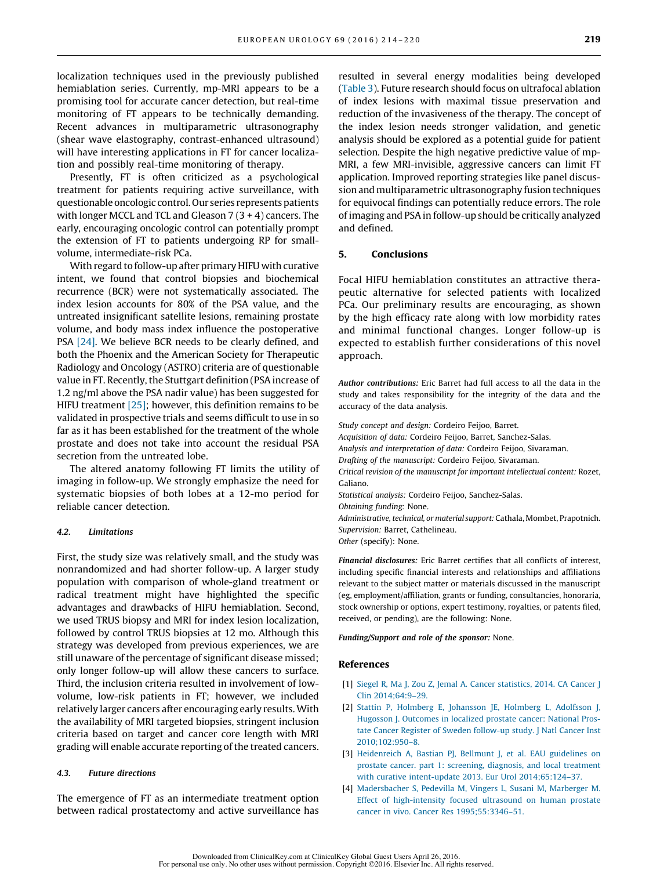<span id="page-5-0"></span>localization techniques used in the previously published hemiablation series. Currently, mp-MRI appears to be a promising tool for accurate cancer detection, but real-time monitoring of FT appears to be technically demanding. Recent advances in multiparametric ultrasonography (shear wave elastography, contrast-enhanced ultrasound) will have interesting applications in FT for cancer localization and possibly real-time monitoring of therapy.

Presently, FT is often criticized as a psychological treatment for patients requiring active surveillance, with questionable oncologic control. Our series represents patients with longer MCCL and TCL and Gleason  $7(3 + 4)$  cancers. The early, encouraging oncologic control can potentially prompt the extension of FT to patients undergoing RP for smallvolume, intermediate-risk PCa.

With regard to follow-up after primary HIFU with curative intent, we found that control biopsies and biochemical recurrence (BCR) were not systematically associated. The index lesion accounts for 80% of the PSA value, and the untreated insignificant satellite lesions, remaining prostate volume, and body mass index influence the postoperative PSA [\[24\].](#page-6-0) We believe BCR needs to be clearly defined, and both the Phoenix and the American Society for Therapeutic Radiology and Oncology (ASTRO) criteria are of questionable value in FT. Recently, the Stuttgart definition (PSA increase of 1.2 ng/ml above the PSA nadir value) has been suggested for HIFU treatment [\[25\]](#page-6-0); however, this definition remains to be validated in prospective trials and seems difficult to use in so far as it has been established for the treatment of the whole prostate and does not take into account the residual PSA secretion from the untreated lobe.

The altered anatomy following FT limits the utility of imaging in follow-up. We strongly emphasize the need for systematic biopsies of both lobes at a 12-mo period for reliable cancer detection.

#### 4.2. Limitations

First, the study size was relatively small, and the study was nonrandomized and had shorter follow-up. A larger study population with comparison of whole-gland treatment or radical treatment might have highlighted the specific advantages and drawbacks of HIFU hemiablation. Second, we used TRUS biopsy and MRI for index lesion localization, followed by control TRUS biopsies at 12 mo. Although this strategy was developed from previous experiences, we are still unaware of the percentage of significant disease missed; only longer follow-up will allow these cancers to surface. Third, the inclusion criteria resulted in involvement of lowvolume, low-risk patients in FT; however, we included relatively larger cancers after encouraging early results.With the availability of MRI targeted biopsies, stringent inclusion criteria based on target and cancer core length with MRI grading will enable accurate reporting of the treated cancers.

#### 4.3. Future directions

The emergence of FT as an intermediate treatment option between radical prostatectomy and active surveillance has resulted in several energy modalities being developed [\(Table 3\)](#page-4-0). Future research should focus on ultrafocal ablation of index lesions with maximal tissue preservation and reduction of the invasiveness of the therapy. The concept of the index lesion needs stronger validation, and genetic analysis should be explored as a potential guide for patient selection. Despite the high negative predictive value of mp-MRI, a few MRI-invisible, aggressive cancers can limit FT application. Improved reporting strategies like panel discussion and multiparametric ultrasonography fusion techniques for equivocal findings can potentially reduce errors. The role of imaging and PSA in follow-up should be critically analyzed and defined.

# 5. Conclusions

Focal HIFU hemiablation constitutes an attractive therapeutic alternative for selected patients with localized PCa. Our preliminary results are encouraging, as shown by the high efficacy rate along with low morbidity rates and minimal functional changes. Longer follow-up is expected to establish further considerations of this novel approach.

Author contributions: Eric Barret had full access to all the data in the study and takes responsibility for the integrity of the data and the accuracy of the data analysis.

Study concept and design: Cordeiro Feijoo, Barret. Acquisition of data: Cordeiro Feijoo, Barret, Sanchez-Salas. Analysis and interpretation of data: Cordeiro Feijoo, Sivaraman. Drafting of the manuscript: Cordeiro Feijoo, Sivaraman. Critical revision of the manuscript for important intellectual content: Rozet, Galiano. Statistical analysis: Cordeiro Feijoo, Sanchez-Salas. Obtaining funding: None. Administrative, technical, or material support: Cathala, Mombet, Prapotnich. Supervision: Barret, Cathelineau. Other (specify): None.

Financial disclosures: Eric Barret certifies that all conflicts of interest, including specific financial interests and relationships and affiliations relevant to the subject matter or materials discussed in the manuscript (eg, employment/affiliation, grants or funding, consultancies, honoraria, stock ownership or options, expert testimony, royalties, or patents filed, received, or pending), are the following: None.

Funding/Support and role of the sponsor: None.

# References

- [1] [Siegel R, Ma J, Zou Z, Jemal A. Cancer statistics, 2014. CA Cancer J](http://refhub.elsevier.com/S0302-2838(15)00521-7/sbref0130) [Clin 2014;64:9–29.](http://refhub.elsevier.com/S0302-2838(15)00521-7/sbref0130)
- [2] [Stattin P, Holmberg E, Johansson JE, Holmberg L, Adolfsson J,](http://refhub.elsevier.com/S0302-2838(15)00521-7/sbref0135) [Hugosson J. Outcomes in localized prostate cancer: National Pros](http://refhub.elsevier.com/S0302-2838(15)00521-7/sbref0135)[tate Cancer Register of Sweden follow-up study. J Natl Cancer Inst](http://refhub.elsevier.com/S0302-2838(15)00521-7/sbref0135) [2010;102:950–8](http://refhub.elsevier.com/S0302-2838(15)00521-7/sbref0135).
- [3] [Heidenreich A, Bastian PJ, Bellmunt J, et al. EAU guidelines on](http://refhub.elsevier.com/S0302-2838(15)00521-7/sbref0140) [prostate cancer. part 1: screening, diagnosis, and local treatment](http://refhub.elsevier.com/S0302-2838(15)00521-7/sbref0140) [with curative intent-update 2013. Eur Urol 2014;65:124–37.](http://refhub.elsevier.com/S0302-2838(15)00521-7/sbref0140)
- [4] [Madersbacher S, Pedevilla M, Vingers L, Susani M, Marberger M.](http://refhub.elsevier.com/S0302-2838(15)00521-7/sbref0145) [Effect of high-intensity focused ultrasound on human prostate](http://refhub.elsevier.com/S0302-2838(15)00521-7/sbref0145) [cancer in vivo. Cancer Res 1995;55:3346–51.](http://refhub.elsevier.com/S0302-2838(15)00521-7/sbref0145)